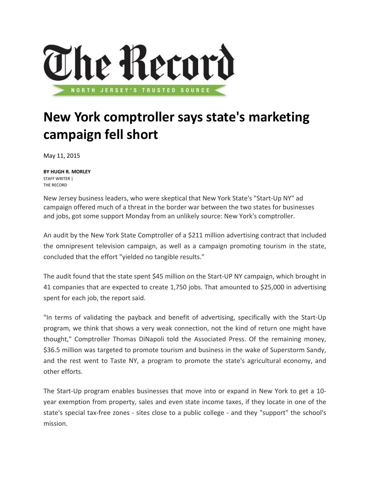

## **New York comptroller says state's marketing campaign fell short**

May 11, 2015

**BY HUGH R. MORLEY** STAFF WRITER | THE RECORD

New Jersey business leaders, who were skeptical that New York State's "Start‐Up NY" ad campaign offered much of a threat in the border war between the two states for businesses and jobs, got some support Monday from an unlikely source: New York's comptroller.

An audit by the New York State Comptroller of a \$211 million advertising contract that included the omnipresent television campaign, as well as a campaign promoting tourism in the state, concluded that the effort "yielded no tangible results."

The audit found that the state spent \$45 million on the Start-UP NY campaign, which brought in 41 companies that are expected to create 1,750 jobs. That amounted to \$25,000 in advertising spent for each job, the report said.

"In terms of validating the payback and benefit of advertising, specifically with the Start‐Up program, we think that shows a very weak connection, not the kind of return one might have thought," Comptroller Thomas DiNapoli told the Associated Press. Of the remaining money, \$36.5 million was targeted to promote tourism and business in the wake of Superstorm Sandy, and the rest went to Taste NY, a program to promote the state's agricultural economy, and other efforts.

The Start‐Up program enables businesses that move into or expand in New York to get a 10‐ year exemption from property, sales and even state income taxes, if they locate in one of the state's special tax-free zones - sites close to a public college - and they "support" the school's mission.